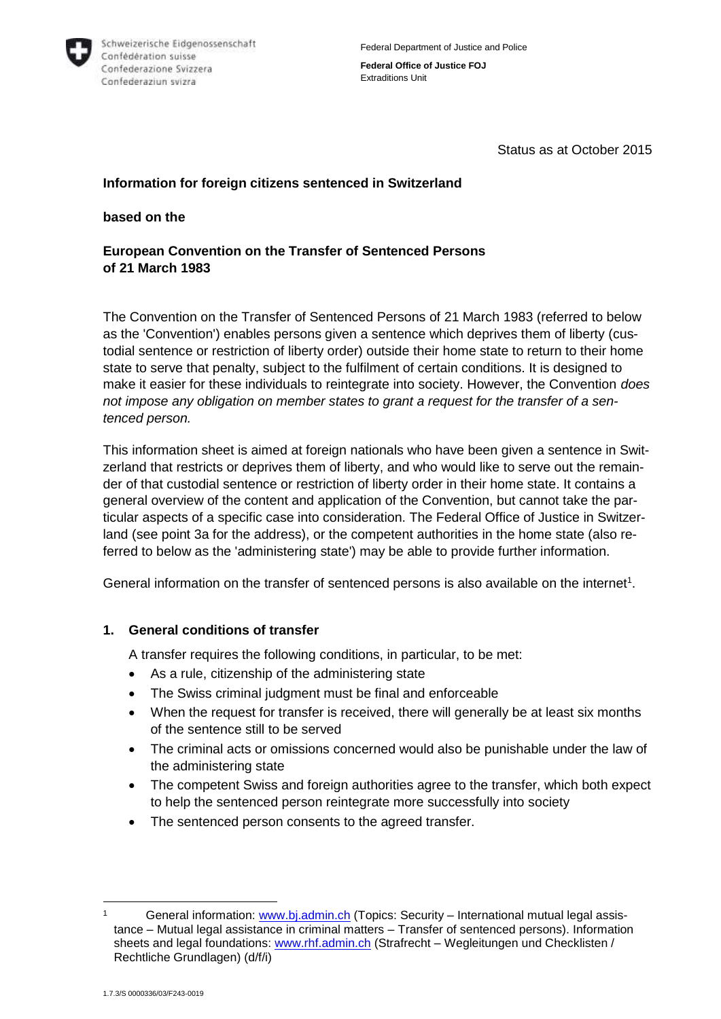

**Federal Office of Justice FOJ** Extraditions Unit

Status as at October 2015

### **Information for foreign citizens sentenced in Switzerland**

#### **based on the**

## **European Convention on the Transfer of Sentenced Persons of 21 March 1983**

The Convention on the Transfer of Sentenced Persons of 21 March 1983 (referred to below as the 'Convention') enables persons given a sentence which deprives them of liberty (custodial sentence or restriction of liberty order) outside their home state to return to their home state to serve that penalty, subject to the fulfilment of certain conditions. It is designed to make it easier for these individuals to reintegrate into society. However, the Convention *does not impose any obligation on member states to grant a request for the transfer of a sentenced person.*

This information sheet is aimed at foreign nationals who have been given a sentence in Switzerland that restricts or deprives them of liberty, and who would like to serve out the remainder of that custodial sentence or restriction of liberty order in their home state. It contains a general overview of the content and application of the Convention, but cannot take the particular aspects of a specific case into consideration. The Federal Office of Justice in Switzerland (see point 3a for the address), or the competent authorities in the home state (also referred to below as the 'administering state') may be able to provide further information.

General information on the transfer of sentenced persons is also available on the internet<sup>1</sup>.

#### **1. General conditions of transfer**

A transfer requires the following conditions, in particular, to be met:

- As a rule, citizenship of the administering state
- The Swiss criminal judgment must be final and enforceable
- When the request for transfer is received, there will generally be at least six months of the sentence still to be served
- The criminal acts or omissions concerned would also be punishable under the law of the administering state
- The competent Swiss and foreign authorities agree to the transfer, which both expect to help the sentenced person reintegrate more successfully into society
- The sentenced person consents to the agreed transfer.

<sup>1</sup> 1 General information: [www.bj.admin.ch](http://www.bj.admin.ch/) (Topics: Security – International mutual legal assistance – Mutual legal assistance in criminal matters – Transfer of sentenced persons). Information sheets and legal foundations: [www.rhf.admin.ch](http://www.rhf.admin.ch/) (Strafrecht – Wegleitungen und Checklisten / Rechtliche Grundlagen) (d/f/i)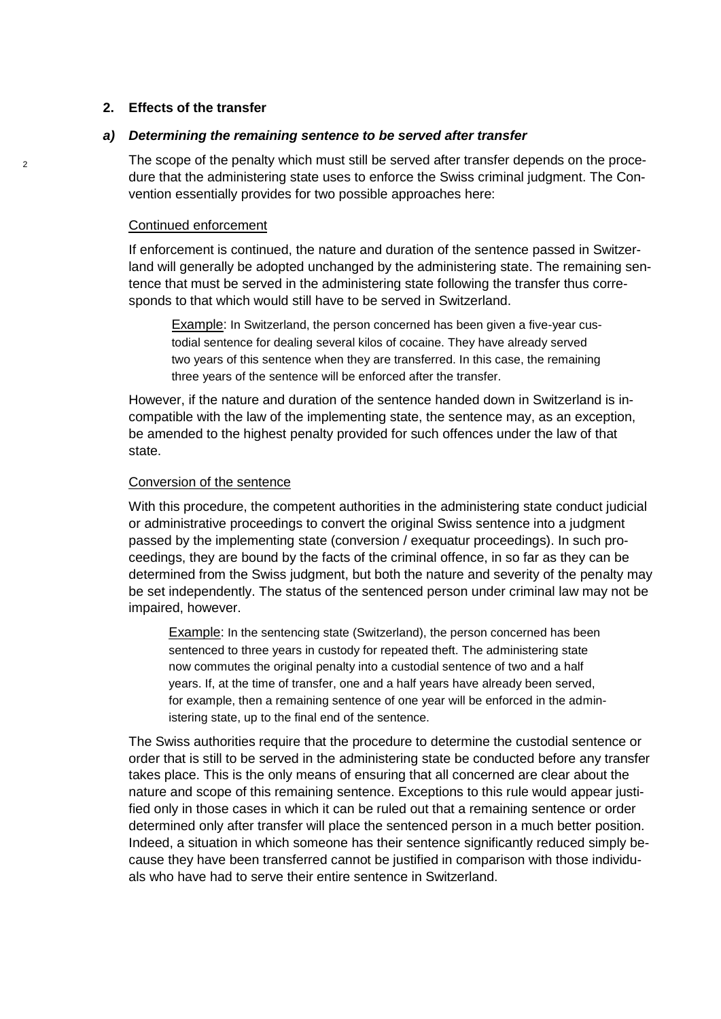#### **2. Effects of the transfer**

#### *a) Determining the remaining sentence to be served after transfer*

The scope of the penalty which must still be served after transfer depends on the procedure that the administering state uses to enforce the Swiss criminal judgment. The Convention essentially provides for two possible approaches here:

#### Continued enforcement

If enforcement is continued, the nature and duration of the sentence passed in Switzerland will generally be adopted unchanged by the administering state. The remaining sentence that must be served in the administering state following the transfer thus corresponds to that which would still have to be served in Switzerland.

Example: In Switzerland, the person concerned has been given a five-year custodial sentence for dealing several kilos of cocaine. They have already served two years of this sentence when they are transferred. In this case, the remaining three years of the sentence will be enforced after the transfer.

However, if the nature and duration of the sentence handed down in Switzerland is incompatible with the law of the implementing state, the sentence may, as an exception, be amended to the highest penalty provided for such offences under the law of that state.

#### Conversion of the sentence

With this procedure, the competent authorities in the administering state conduct judicial or administrative proceedings to convert the original Swiss sentence into a judgment passed by the implementing state (conversion / exequatur proceedings). In such proceedings, they are bound by the facts of the criminal offence, in so far as they can be determined from the Swiss judgment, but both the nature and severity of the penalty may be set independently. The status of the sentenced person under criminal law may not be impaired, however.

Example: In the sentencing state (Switzerland), the person concerned has been sentenced to three years in custody for repeated theft. The administering state now commutes the original penalty into a custodial sentence of two and a half years. If, at the time of transfer, one and a half years have already been served, for example, then a remaining sentence of one year will be enforced in the administering state, up to the final end of the sentence.

The Swiss authorities require that the procedure to determine the custodial sentence or order that is still to be served in the administering state be conducted before any transfer takes place. This is the only means of ensuring that all concerned are clear about the nature and scope of this remaining sentence. Exceptions to this rule would appear justified only in those cases in which it can be ruled out that a remaining sentence or order determined only after transfer will place the sentenced person in a much better position. Indeed, a situation in which someone has their sentence significantly reduced simply because they have been transferred cannot be justified in comparison with those individuals who have had to serve their entire sentence in Switzerland.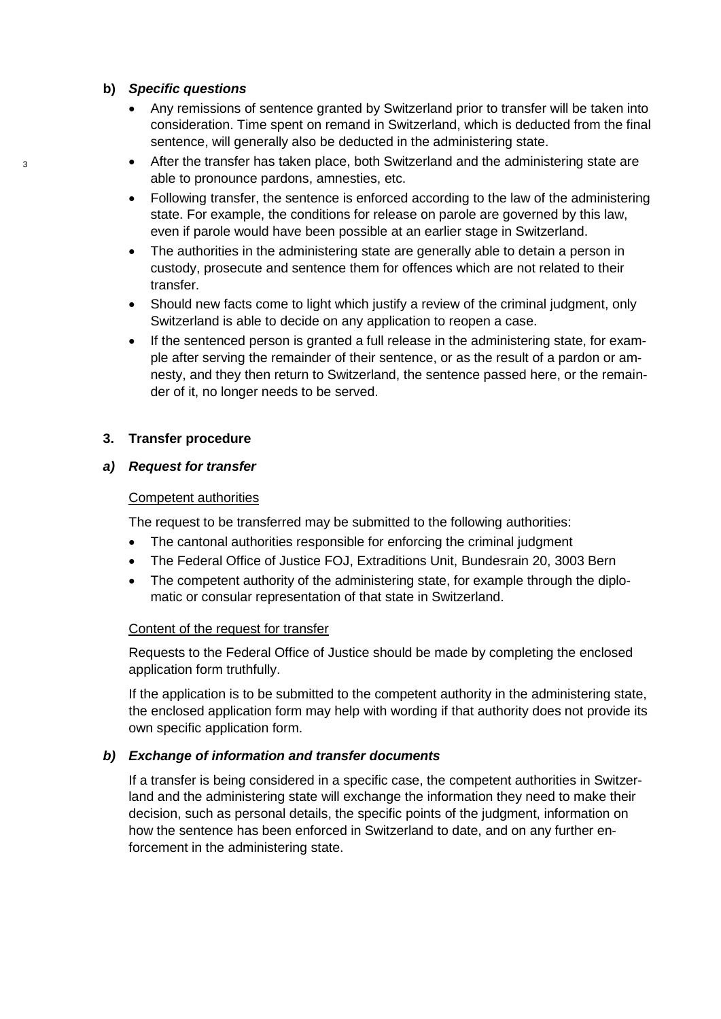#### **b)** *Specific questions*

- Any remissions of sentence granted by Switzerland prior to transfer will be taken into consideration. Time spent on remand in Switzerland, which is deducted from the final sentence, will generally also be deducted in the administering state.
- After the transfer has taken place, both Switzerland and the administering state are able to pronounce pardons, amnesties, etc.
- Following transfer, the sentence is enforced according to the law of the administering state. For example, the conditions for release on parole are governed by this law, even if parole would have been possible at an earlier stage in Switzerland.
- The authorities in the administering state are generally able to detain a person in custody, prosecute and sentence them for offences which are not related to their transfer.
- Should new facts come to light which justify a review of the criminal judgment, only Switzerland is able to decide on any application to reopen a case.
- If the sentenced person is granted a full release in the administering state, for example after serving the remainder of their sentence, or as the result of a pardon or amnesty, and they then return to Switzerland, the sentence passed here, or the remainder of it, no longer needs to be served.

### **3. Transfer procedure**

#### *a) Request for transfer*

### Competent authorities

The request to be transferred may be submitted to the following authorities:

- The cantonal authorities responsible for enforcing the criminal judgment
- The Federal Office of Justice FOJ, Extraditions Unit, Bundesrain 20, 3003 Bern
- The competent authority of the administering state, for example through the diplomatic or consular representation of that state in Switzerland.

#### Content of the request for transfer

Requests to the Federal Office of Justice should be made by completing the enclosed application form truthfully.

If the application is to be submitted to the competent authority in the administering state, the enclosed application form may help with wording if that authority does not provide its own specific application form.

#### *b) Exchange of information and transfer documents*

If a transfer is being considered in a specific case, the competent authorities in Switzerland and the administering state will exchange the information they need to make their decision, such as personal details, the specific points of the judgment, information on how the sentence has been enforced in Switzerland to date, and on any further enforcement in the administering state.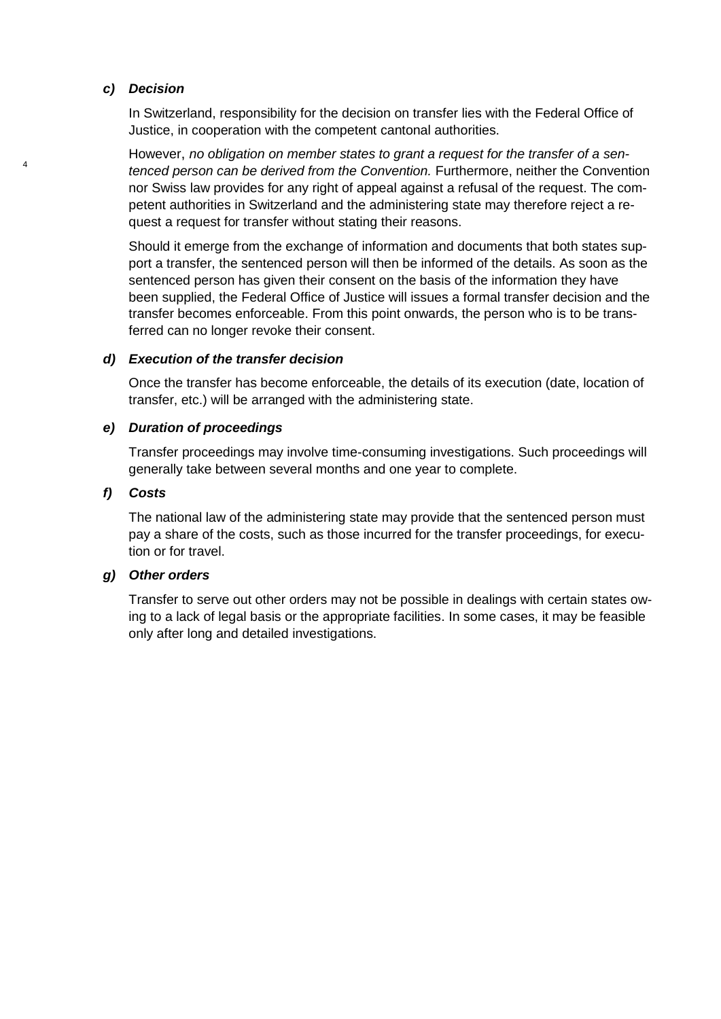#### *c) Decision*

4

In Switzerland, responsibility for the decision on transfer lies with the Federal Office of Justice, in cooperation with the competent cantonal authorities.

However, *no obligation on member states to grant a request for the transfer of a sentenced person can be derived from the Convention.* Furthermore, neither the Convention nor Swiss law provides for any right of appeal against a refusal of the request. The competent authorities in Switzerland and the administering state may therefore reject a request a request for transfer without stating their reasons.

Should it emerge from the exchange of information and documents that both states support a transfer, the sentenced person will then be informed of the details. As soon as the sentenced person has given their consent on the basis of the information they have been supplied, the Federal Office of Justice will issues a formal transfer decision and the transfer becomes enforceable. From this point onwards, the person who is to be transferred can no longer revoke their consent.

#### *d) Execution of the transfer decision*

Once the transfer has become enforceable, the details of its execution (date, location of transfer, etc.) will be arranged with the administering state.

#### *e) Duration of proceedings*

Transfer proceedings may involve time-consuming investigations. Such proceedings will generally take between several months and one year to complete.

#### *f) Costs*

The national law of the administering state may provide that the sentenced person must pay a share of the costs, such as those incurred for the transfer proceedings, for execution or for travel.

### *g) Other orders*

Transfer to serve out other orders may not be possible in dealings with certain states owing to a lack of legal basis or the appropriate facilities. In some cases, it may be feasible only after long and detailed investigations.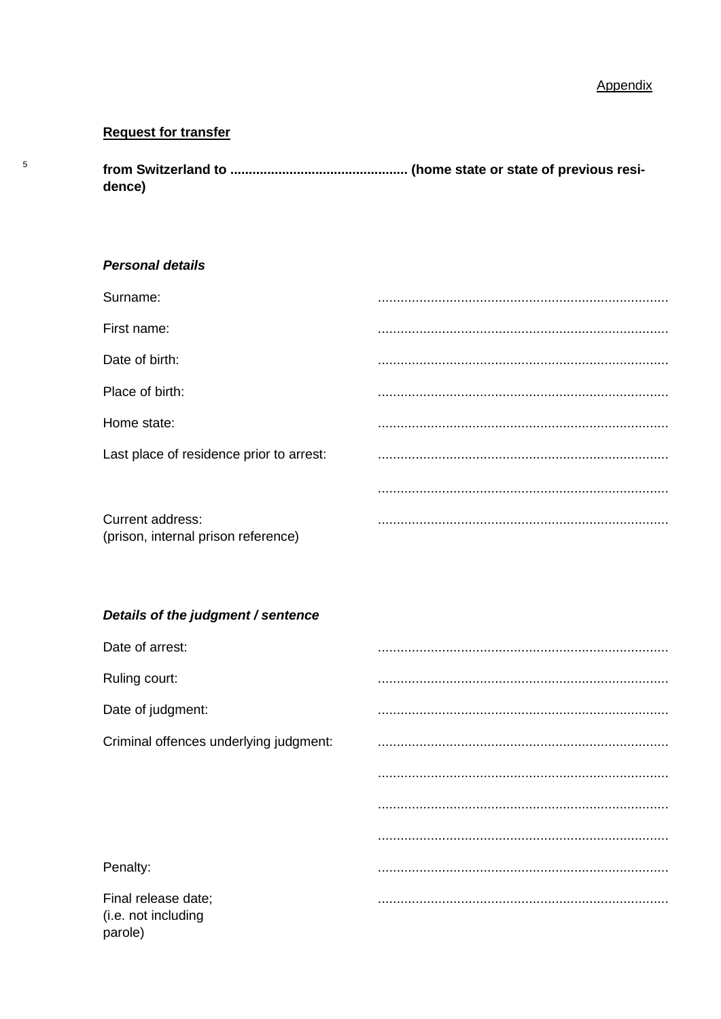# **Request for transfer**

 $\sqrt{5}$ 

dence)

### **Personal details**

| Surname:                                                |  |
|---------------------------------------------------------|--|
| First name:                                             |  |
| Date of birth:                                          |  |
| Place of birth:                                         |  |
| Home state:                                             |  |
| Last place of residence prior to arrest:                |  |
|                                                         |  |
| Current address:<br>(prison, internal prison reference) |  |
|                                                         |  |
| Details of the judgment / sentence                      |  |
| Date of arrest:                                         |  |
| Ruling court:                                           |  |
| Date of judgment:                                       |  |
| Criminal offences underlying judgment:                  |  |
|                                                         |  |
|                                                         |  |
|                                                         |  |
|                                                         |  |
| Penalty:                                                |  |

(i.e. not including parole)